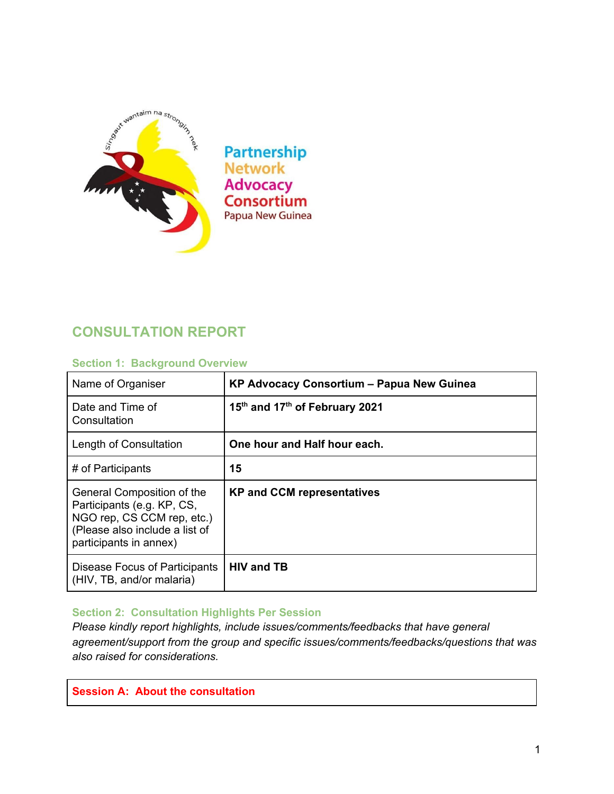

**Partnership Network Advocacy Consortium** Papua New Guinea

# **CONSULTATION REPORT**

#### **Section 1: Background Overview**

| Name of Organiser                                                                                                                                  | KP Advocacy Consortium - Papua New Guinea              |
|----------------------------------------------------------------------------------------------------------------------------------------------------|--------------------------------------------------------|
| Date and Time of<br>Consultation                                                                                                                   | 15 <sup>th</sup> and 17 <sup>th</sup> of February 2021 |
| Length of Consultation                                                                                                                             | One hour and Half hour each.                           |
| # of Participants                                                                                                                                  | 15                                                     |
| General Composition of the<br>Participants (e.g. KP, CS,<br>NGO rep, CS CCM rep, etc.)<br>(Please also include a list of<br>participants in annex) | <b>KP and CCM representatives</b>                      |
| Disease Focus of Participants<br>(HIV, TB, and/or malaria)                                                                                         | <b>HIV and TB</b>                                      |

#### **Section 2: Consultation Highlights Per Session**

*Please kindly report highlights, include issues/comments/feedbacks that have general agreement/support from the group and specific issues/comments/feedbacks/questions that was also raised for considerations.* 

**Session A: About the consultation**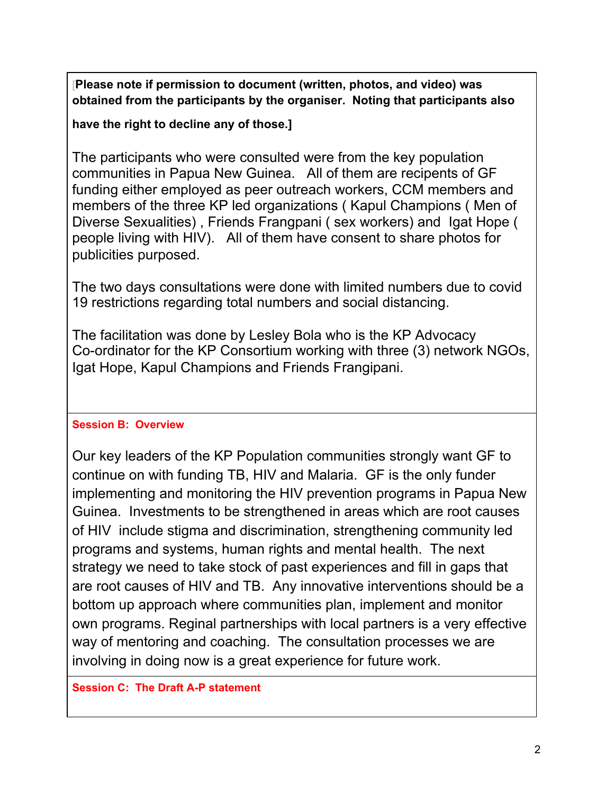[**Please note if permission to document (written, photos, and video) was obtained from the participants by the organiser. Noting that participants also** 

**have the right to decline any of those.]**

The participants who were consulted were from the key population communities in Papua New Guinea. All of them are recipents of GF funding either employed as peer outreach workers, CCM members and members of the three KP led organizations ( Kapul Champions ( Men of Diverse Sexualities) , Friends Frangpani ( sex workers) and Igat Hope ( people living with HIV). All of them have consent to share photos for publicities purposed.

The two days consultations were done with limited numbers due to covid 19 restrictions regarding total numbers and social distancing.

The facilitation was done by Lesley Bola who is the KP Advocacy Co-ordinator for the KP Consortium working with three (3) network NGOs, Igat Hope, Kapul Champions and Friends Frangipani.

## **Session B: Overview**

Our key leaders of the KP Population communities strongly want GF to continue on with funding TB, HIV and Malaria. GF is the only funder implementing and monitoring the HIV prevention programs in Papua New Guinea. Investments to be strengthened in areas which are root causes of HIV include stigma and discrimination, strengthening community led programs and systems, human rights and mental health. The next strategy we need to take stock of past experiences and fill in gaps that are root causes of HIV and TB. Any innovative interventions should be a bottom up approach where communities plan, implement and monitor own programs. Reginal partnerships with local partners is a very effective way of mentoring and coaching. The consultation processes we are involving in doing now is a great experience for future work.

## **Session C: The Draft A-P statement**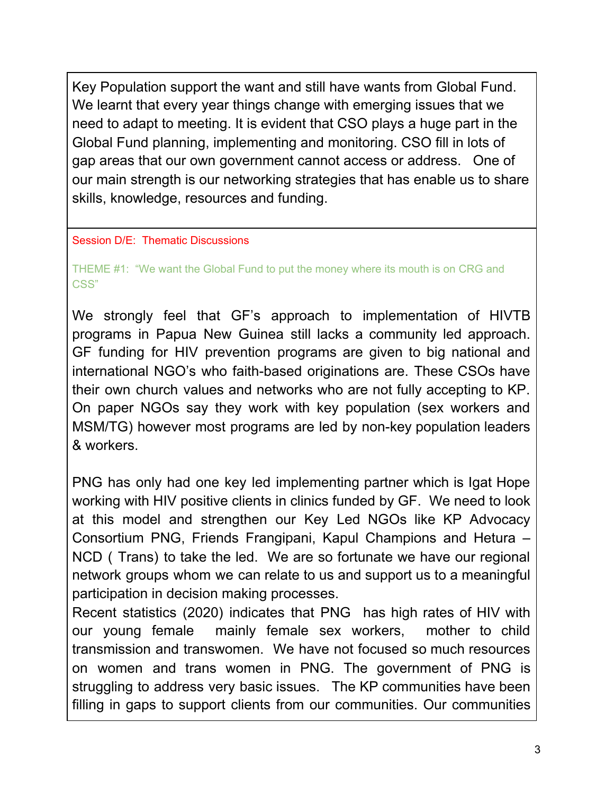Key Population support the want and still have wants from Global Fund. We learnt that every year things change with emerging issues that we need to adapt to meeting. It is evident that CSO plays a huge part in the Global Fund planning, implementing and monitoring. CSO fill in lots of gap areas that our own government cannot access or address. One of our main strength is our networking strategies that has enable us to share skills, knowledge, resources and funding.

## Session D/E: Thematic Discussions

THEME #1: "We want the Global Fund to put the money where its mouth is on CRG and CSS"

We strongly feel that GF's approach to implementation of HIVTB programs in Papua New Guinea still lacks a community led approach. GF funding for HIV prevention programs are given to big national and international NGO's who faith-based originations are. These CSOs have their own church values and networks who are not fully accepting to KP. On paper NGOs say they work with key population (sex workers and MSM/TG) however most programs are led by non-key population leaders & workers.

PNG has only had one key led implementing partner which is Igat Hope working with HIV positive clients in clinics funded by GF. We need to look at this model and strengthen our Key Led NGOs like KP Advocacy Consortium PNG, Friends Frangipani, Kapul Champions and Hetura – NCD ( Trans) to take the led. We are so fortunate we have our regional network groups whom we can relate to us and support us to a meaningful participation in decision making processes.

Recent statistics (2020) indicates that PNG has high rates of HIV with our young female mainly female sex workers, mother to child transmission and transwomen. We have not focused so much resources on women and trans women in PNG. The government of PNG is struggling to address very basic issues. The KP communities have been filling in gaps to support clients from our communities. Our communities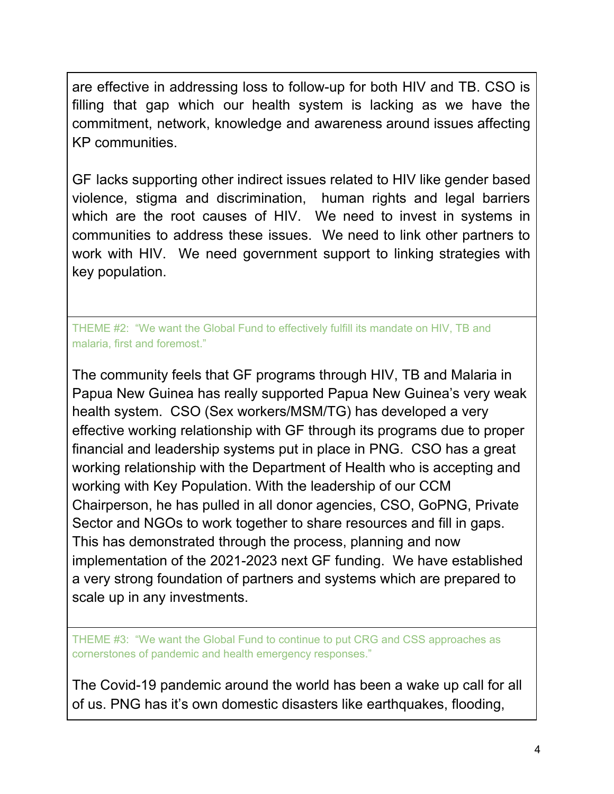are effective in addressing loss to follow-up for both HIV and TB. CSO is filling that gap which our health system is lacking as we have the commitment, network, knowledge and awareness around issues affecting KP communities.

GF lacks supporting other indirect issues related to HIV like gender based violence, stigma and discrimination, human rights and legal barriers which are the root causes of HIV. We need to invest in systems in communities to address these issues. We need to link other partners to work with HIV. We need government support to linking strategies with key population.

THEME #2: "We want the Global Fund to effectively fulfill its mandate on HIV, TB and malaria, first and foremost."

The community feels that GF programs through HIV, TB and Malaria in Papua New Guinea has really supported Papua New Guinea's very weak health system. CSO (Sex workers/MSM/TG) has developed a very effective working relationship with GF through its programs due to proper financial and leadership systems put in place in PNG. CSO has a great working relationship with the Department of Health who is accepting and working with Key Population. With the leadership of our CCM Chairperson, he has pulled in all donor agencies, CSO, GoPNG, Private Sector and NGOs to work together to share resources and fill in gaps. This has demonstrated through the process, planning and now implementation of the 2021-2023 next GF funding. We have established a very strong foundation of partners and systems which are prepared to scale up in any investments.

THEME #3: "We want the Global Fund to continue to put CRG and CSS approaches as cornerstones of pandemic and health emergency responses."

The Covid-19 pandemic around the world has been a wake up call for all of us. PNG has it's own domestic disasters like earthquakes, flooding,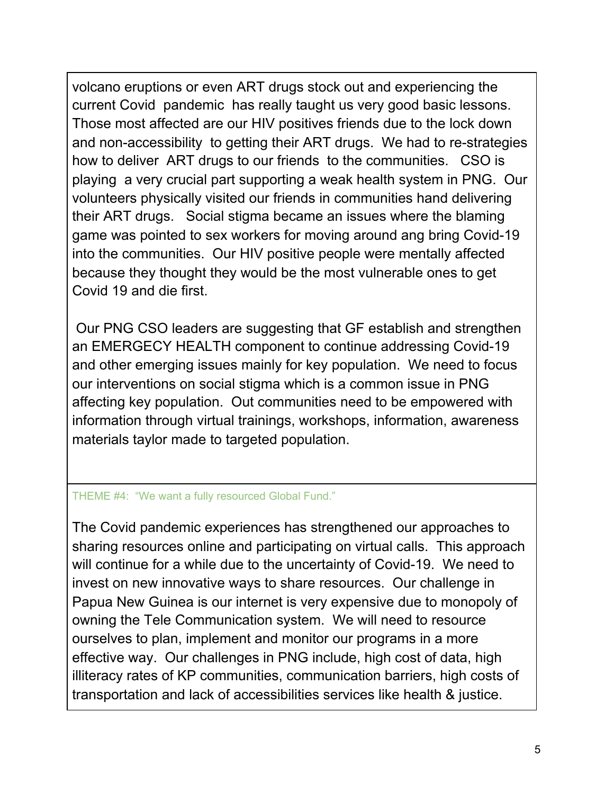volcano eruptions or even ART drugs stock out and experiencing the current Covid pandemic has really taught us very good basic lessons. Those most affected are our HIV positives friends due to the lock down and non-accessibility to getting their ART drugs. We had to re-strategies how to deliver ART drugs to our friends to the communities. CSO is playing a very crucial part supporting a weak health system in PNG. Our volunteers physically visited our friends in communities hand delivering their ART drugs. Social stigma became an issues where the blaming game was pointed to sex workers for moving around ang bring Covid-19 into the communities. Our HIV positive people were mentally affected because they thought they would be the most vulnerable ones to get Covid 19 and die first.

 Our PNG CSO leaders are suggesting that GF establish and strengthen an EMERGECY HEALTH component to continue addressing Covid-19 and other emerging issues mainly for key population. We need to focus our interventions on social stigma which is a common issue in PNG affecting key population. Out communities need to be empowered with information through virtual trainings, workshops, information, awareness materials taylor made to targeted population.

## THEME #4: "We want a fully resourced Global Fund."

The Covid pandemic experiences has strengthened our approaches to sharing resources online and participating on virtual calls. This approach will continue for a while due to the uncertainty of Covid-19. We need to invest on new innovative ways to share resources. Our challenge in Papua New Guinea is our internet is very expensive due to monopoly of owning the Tele Communication system. We will need to resource ourselves to plan, implement and monitor our programs in a more effective way. Our challenges in PNG include, high cost of data, high illiteracy rates of KP communities, communication barriers, high costs of transportation and lack of accessibilities services like health & justice.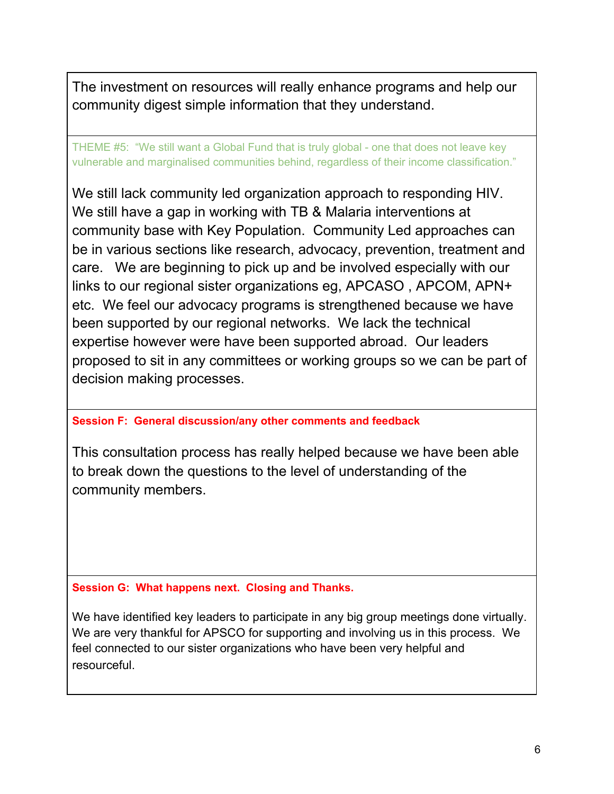The investment on resources will really enhance programs and help our community digest simple information that they understand.

THEME #5: "We still want a Global Fund that is truly global - one that does not leave key vulnerable and marginalised communities behind, regardless of their income classification."

We still lack community led organization approach to responding HIV. We still have a gap in working with TB & Malaria interventions at community base with Key Population. Community Led approaches can be in various sections like research, advocacy, prevention, treatment and care. We are beginning to pick up and be involved especially with our links to our regional sister organizations eg, APCASO , APCOM, APN+ etc. We feel our advocacy programs is strengthened because we have been supported by our regional networks. We lack the technical expertise however were have been supported abroad. Our leaders proposed to sit in any committees or working groups so we can be part of decision making processes.

#### **Session F: General discussion/any other comments and feedback**

This consultation process has really helped because we have been able to break down the questions to the level of understanding of the community members.

**Session G: What happens next. Closing and Thanks.** 

We have identified key leaders to participate in any big group meetings done virtually. We are very thankful for APSCO for supporting and involving us in this process. We feel connected to our sister organizations who have been very helpful and resourceful.